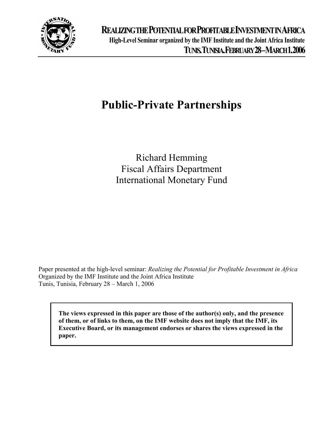

### **Public-Private Partnerships**

Richard Hemming Fiscal Affairs Department International Monetary Fund

Paper presented at the high-level seminar: *Realizing the Potential for Profitable Investment in Africa* Organized by the IMF Institute and the Joint Africa Institute Tunis, Tunisia, February 28 – March 1, 2006

**The views expressed in this paper are those of the author(s) only, and the presence of them, or of links to them, on the IMF website does not imply that the IMF, its Executive Board, or its management endorses or shares the views expressed in the paper.**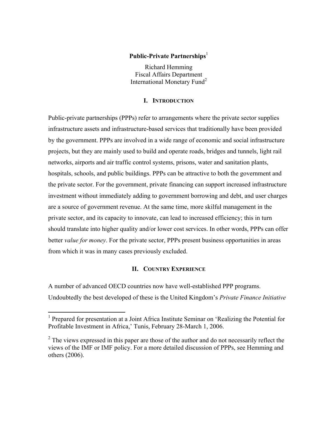### **Public-Private Partnerships**<sup>1</sup>

Richard Hemming Fiscal Affairs Department International Monetary Fund<sup>2</sup>

### **I. INTRODUCTION**

Public-private partnerships (PPPs) refer to arrangements where the private sector supplies infrastructure assets and infrastructure-based services that traditionally have been provided by the government. PPPs are involved in a wide range of economic and social infrastructure projects, but they are mainly used to build and operate roads, bridges and tunnels, light rail networks, airports and air traffic control systems, prisons, water and sanitation plants, hospitals, schools, and public buildings. PPPs can be attractive to both the government and the private sector. For the government, private financing can support increased infrastructure investment without immediately adding to government borrowing and debt, and user charges are a source of government revenue. At the same time, more skilful management in the private sector, and its capacity to innovate, can lead to increased efficiency; this in turn should translate into higher quality and/or lower cost services. In other words, PPPs can offer better *value for money*. For the private sector, PPPs present business opportunities in areas from which it was in many cases previously excluded.

### **II. COUNTRY EXPERIENCE**

A number of advanced OECD countries now have well-established PPP programs. Undoubtedly the best developed of these is the United Kingdom's *Private Finance Initiative*

1

<sup>&</sup>lt;sup>1</sup> Prepared for presentation at a Joint Africa Institute Seminar on 'Realizing the Potential for Profitable Investment in Africa,' Tunis, February 28-March 1, 2006.

 $2^2$  The views expressed in this paper are those of the author and do not necessarily reflect the views of the IMF or IMF policy. For a more detailed discussion of PPPs, see Hemming and others (2006).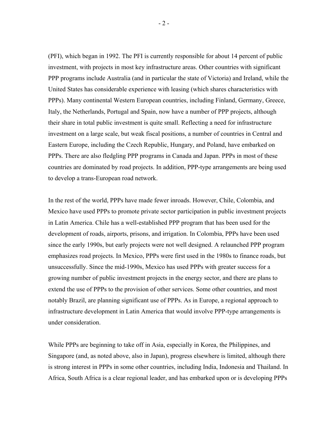(PFI), which began in 1992. The PFI is currently responsible for about 14 percent of public investment, with projects in most key infrastructure areas. Other countries with significant PPP programs include Australia (and in particular the state of Victoria) and Ireland, while the United States has considerable experience with leasing (which shares characteristics with PPPs). Many continental Western European countries, including Finland, Germany, Greece, Italy, the Netherlands, Portugal and Spain, now have a number of PPP projects, although their share in total public investment is quite small. Reflecting a need for infrastructure investment on a large scale, but weak fiscal positions, a number of countries in Central and Eastern Europe, including the Czech Republic, Hungary, and Poland, have embarked on PPPs. There are also fledgling PPP programs in Canada and Japan. PPPs in most of these countries are dominated by road projects. In addition, PPP-type arrangements are being used to develop a trans-European road network.

In the rest of the world, PPPs have made fewer inroads. However, Chile, Colombia, and Mexico have used PPPs to promote private sector participation in public investment projects in Latin America. Chile has a well-established PPP program that has been used for the development of roads, airports, prisons, and irrigation. In Colombia, PPPs have been used since the early 1990s, but early projects were not well designed. A relaunched PPP program emphasizes road projects. In Mexico, PPPs were first used in the 1980s to finance roads, but unsuccessfully. Since the mid-1990s, Mexico has used PPPs with greater success for a growing number of public investment projects in the energy sector, and there are plans to extend the use of PPPs to the provision of other services. Some other countries, and most notably Brazil, are planning significant use of PPPs. As in Europe, a regional approach to infrastructure development in Latin America that would involve PPP-type arrangements is under consideration.

While PPPs are beginning to take off in Asia, especially in Korea, the Philippines, and Singapore (and, as noted above, also in Japan), progress elsewhere is limited, although there is strong interest in PPPs in some other countries, including India, Indonesia and Thailand. In Africa, South Africa is a clear regional leader, and has embarked upon or is developing PPPs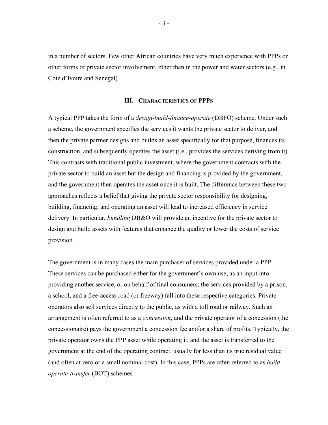in a number of sectors. Few other African countries have very much experience with PPPs or other forms of private sector involvement, other than in the power and water sectors (e.g., in Cote d'Ivoire and Senegal).

#### **III. CHARACTERISTICS OF PPPS**

A typical PPP takes the form of a *design-build-finance-operate* (DBFO) scheme. Under such a scheme, the government specifies the services it wants the private sector to deliver, and then the private partner designs and builds an asset specifically for that purpose, finances its construction, and subsequently operates the asset (i.e., provides the services deriving from it). This contrasts with traditional public investment, where the government contracts with the private sector to build an asset but the design and financing is provided by the government, and the government then operates the asset once it is built. The difference between these two approaches reflects a belief that giving the private sector responsibility for designing, building, financing, and operating an asset will lead to increased efficiency in service delivery. In particular, *bundling* DB&O will provide an incentive for the private sector to design and build assets with features that enhance the quality or lower the costs of service provision.

The government is in many cases the main purchaser of services provided under a PPP. These services can be purchased either for the government's own use, as an input into providing another service, or on behalf of final consumers; the services provided by a prison, a school, and a free-access road (or freeway) fall into these respective categories. Private operators also sell services directly to the public, as with a toll road or railway. Such an arrangement is often referred to as a *concession*, and the private operator of a concession (the concessionaire) pays the government a concession fee and/or a share of profits. Typically, the private operator owns the PPP asset while operating it, and the asset is transferred to the government at the end of the operating contract, usually for less than its true residual value (and often at zero or a small nominal cost). In this case, PPPs are often referred to as *buildoperate-transfer* (BOT) schemes.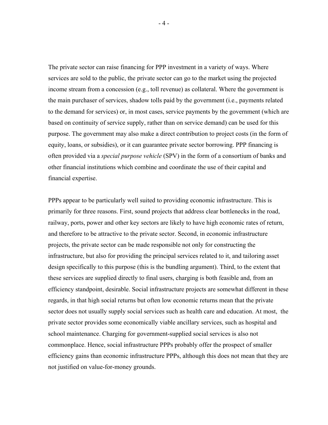The private sector can raise financing for PPP investment in a variety of ways. Where services are sold to the public, the private sector can go to the market using the projected income stream from a concession (e.g., toll revenue) as collateral. Where the government is the main purchaser of services, shadow tolls paid by the government (i.e., payments related to the demand for services) or, in most cases, service payments by the government (which are based on continuity of service supply, rather than on service demand) can be used for this purpose. The government may also make a direct contribution to project costs (in the form of equity, loans, or subsidies), or it can guarantee private sector borrowing. PPP financing is often provided via a *special purpose vehicle* (SPV) in the form of a consortium of banks and other financial institutions which combine and coordinate the use of their capital and financial expertise.

PPPs appear to be particularly well suited to providing economic infrastructure. This is primarily for three reasons. First, sound projects that address clear bottlenecks in the road, railway, ports, power and other key sectors are likely to have high economic rates of return, and therefore to be attractive to the private sector. Second, in economic infrastructure projects, the private sector can be made responsible not only for constructing the infrastructure, but also for providing the principal services related to it, and tailoring asset design specifically to this purpose (this is the bundling argument). Third, to the extent that these services are supplied directly to final users, charging is both feasible and, from an efficiency standpoint, desirable. Social infrastructure projects are somewhat different in these regards, in that high social returns but often low economic returns mean that the private sector does not usually supply social services such as health care and education. At most, the private sector provides some economically viable ancillary services, such as hospital and school maintenance. Charging for government-supplied social services is also not commonplace. Hence, social infrastructure PPPs probably offer the prospect of smaller efficiency gains than economic infrastructure PPPs, although this does not mean that they are not justified on value-for-money grounds.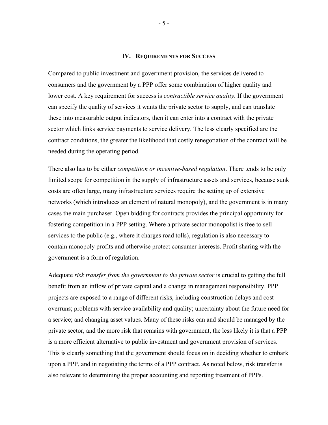#### **IV. REQUIREMENTS FOR SUCCESS**

Compared to public investment and government provision, the services delivered to consumers and the government by a PPP offer some combination of higher quality and lower cost. A key requirement for success is *contractible service quality*. If the government can specify the quality of services it wants the private sector to supply, and can translate these into measurable output indicators, then it can enter into a contract with the private sector which links service payments to service delivery. The less clearly specified are the contract conditions, the greater the likelihood that costly renegotiation of the contract will be needed during the operating period.

There also has to be either *competition or incentive-based regulation*. There tends to be only limited scope for competition in the supply of infrastructure assets and services, because sunk costs are often large, many infrastructure services require the setting up of extensive networks (which introduces an element of natural monopoly), and the government is in many cases the main purchaser. Open bidding for contracts provides the principal opportunity for fostering competition in a PPP setting. Where a private sector monopolist is free to sell services to the public (e.g., where it charges road tolls), regulation is also necessary to contain monopoly profits and otherwise protect consumer interests. Profit sharing with the government is a form of regulation.

Adequate *risk transfer from the government to the private sector* is crucial to getting the full benefit from an inflow of private capital and a change in management responsibility. PPP projects are exposed to a range of different risks, including construction delays and cost overruns; problems with service availability and quality; uncertainty about the future need for a service; and changing asset values. Many of these risks can and should be managed by the private sector, and the more risk that remains with government, the less likely it is that a PPP is a more efficient alternative to public investment and government provision of services. This is clearly something that the government should focus on in deciding whether to embark upon a PPP, and in negotiating the terms of a PPP contract. As noted below, risk transfer is also relevant to determining the proper accounting and reporting treatment of PPPs.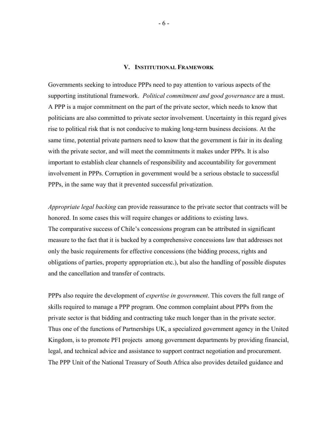#### **V. INSTITUTIONAL FRAMEWORK**

Governments seeking to introduce PPPs need to pay attention to various aspects of the supporting institutional framework. *Political commitment and good governance* are a must. A PPP is a major commitment on the part of the private sector, which needs to know that politicians are also committed to private sector involvement. Uncertainty in this regard gives rise to political risk that is not conducive to making long-term business decisions. At the same time, potential private partners need to know that the government is fair in its dealing with the private sector, and will meet the commitments it makes under PPPs. It is also important to establish clear channels of responsibility and accountability for government involvement in PPPs. Corruption in government would be a serious obstacle to successful PPPs, in the same way that it prevented successful privatization.

*Appropriate legal backing* can provide reassurance to the private sector that contracts will be honored. In some cases this will require changes or additions to existing laws. The comparative success of Chile's concessions program can be attributed in significant measure to the fact that it is backed by a comprehensive concessions law that addresses not only the basic requirements for effective concessions (the bidding process, rights and obligations of parties, property appropriation etc.), but also the handling of possible disputes and the cancellation and transfer of contracts.

PPPs also require the development of *expertise in government*. This covers the full range of skills required to manage a PPP program. One common complaint about PPPs from the private sector is that bidding and contracting take much longer than in the private sector. Thus one of the functions of Partnerships UK, a specialized government agency in the United Kingdom, is to promote PFI projects among government departments by providing financial, legal, and technical advice and assistance to support contract negotiation and procurement. The PPP Unit of the National Treasury of South Africa also provides detailed guidance and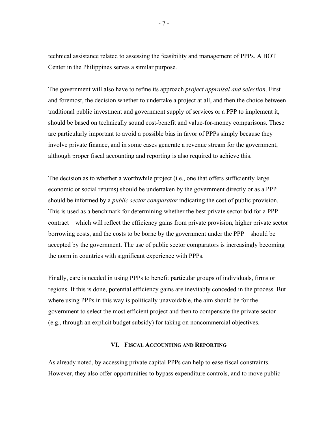technical assistance related to assessing the feasibility and management of PPPs. A BOT Center in the Philippines serves a similar purpose.

The government will also have to refine its approach *project appraisal and selection*. First and foremost, the decision whether to undertake a project at all, and then the choice between traditional public investment and government supply of services or a PPP to implement it, should be based on technically sound cost-benefit and value-for-money comparisons. These are particularly important to avoid a possible bias in favor of PPPs simply because they involve private finance, and in some cases generate a revenue stream for the government, although proper fiscal accounting and reporting is also required to achieve this.

The decision as to whether a worthwhile project (i.e., one that offers sufficiently large economic or social returns) should be undertaken by the government directly or as a PPP should be informed by a *public sector comparator* indicating the cost of public provision. This is used as a benchmark for determining whether the best private sector bid for a PPP contract—which will reflect the efficiency gains from private provision, higher private sector borrowing costs, and the costs to be borne by the government under the PPP—should be accepted by the government. The use of public sector comparators is increasingly becoming the norm in countries with significant experience with PPPs.

Finally, care is needed in using PPPs to benefit particular groups of individuals, firms or regions. If this is done, potential efficiency gains are inevitably conceded in the process. But where using PPPs in this way is politically unavoidable, the aim should be for the government to select the most efficient project and then to compensate the private sector (e.g., through an explicit budget subsidy) for taking on noncommercial objectives.

### **VI. FISCAL ACCOUNTING AND REPORTING**

As already noted, by accessing private capital PPPs can help to ease fiscal constraints. However, they also offer opportunities to bypass expenditure controls, and to move public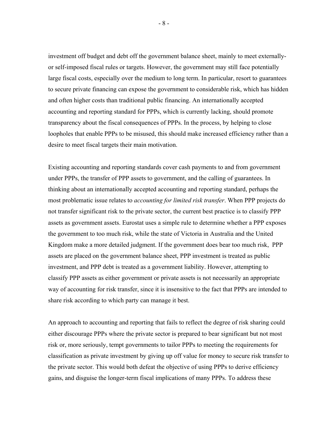investment off budget and debt off the government balance sheet, mainly to meet externallyor self-imposed fiscal rules or targets. However, the government may still face potentially large fiscal costs, especially over the medium to long term. In particular, resort to guarantees to secure private financing can expose the government to considerable risk, which has hidden and often higher costs than traditional public financing. An internationally accepted accounting and reporting standard for PPPs, which is currently lacking, should promote transparency about the fiscal consequences of PPPs. In the process, by helping to close loopholes that enable PPPs to be misused, this should make increased efficiency rather than a desire to meet fiscal targets their main motivation.

Existing accounting and reporting standards cover cash payments to and from government under PPPs, the transfer of PPP assets to government, and the calling of guarantees. In thinking about an internationally accepted accounting and reporting standard, perhaps the most problematic issue relates to *accounting for limited risk transfer*. When PPP projects do not transfer significant risk to the private sector, the current best practice is to classify PPP assets as government assets. Eurostat uses a simple rule to determine whether a PPP exposes the government to too much risk, while the state of Victoria in Australia and the United Kingdom make a more detailed judgment. If the government does bear too much risk, PPP assets are placed on the government balance sheet, PPP investment is treated as public investment, and PPP debt is treated as a government liability. However, attempting to classify PPP assets as either government or private assets is not necessarily an appropriate way of accounting for risk transfer, since it is insensitive to the fact that PPPs are intended to share risk according to which party can manage it best.

An approach to accounting and reporting that fails to reflect the degree of risk sharing could either discourage PPPs where the private sector is prepared to bear significant but not most risk or, more seriously, tempt governments to tailor PPPs to meeting the requirements for classification as private investment by giving up off value for money to secure risk transfer to the private sector. This would both defeat the objective of using PPPs to derive efficiency gains, and disguise the longer-term fiscal implications of many PPPs. To address these

- 8 -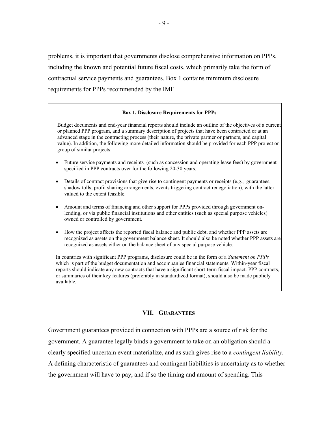problems, it is important that governments disclose comprehensive information on PPPs, including the known and potential future fiscal costs, which primarily take the form of contractual service payments and guarantees. Box 1 contains minimum disclosure requirements for PPPs recommended by the IMF.

#### **Box 1. Disclosure Requirements for PPPs**

Budget documents and end-year financial reports should include an outline of the objectives of a current or planned PPP program, and a summary description of projects that have been contracted or at an advanced stage in the contracting process (their nature, the private partner or partners, and capital value). In addition, the following more detailed information should be provided for each PPP project or group of similar projects:

- Future service payments and receipts (such as concession and operating lease fees) by government specified in PPP contracts over for the following 20-30 years.
- $\bullet$  Details of contract provisions that give rise to contingent payments or receipts (e.g., guarantees, shadow tolls, profit sharing arrangements, events triggering contract renegotiation), with the latter valued to the extent feasible.
- Amount and terms of financing and other support for PPPs provided through government onlending, or via public financial institutions and other entities (such as special purpose vehicles) owned or controlled by government.
- How the project affects the reported fiscal balance and public debt, and whether PPP assets are recognized as assets on the government balance sheet. It should also be noted whether PPP assets are recognized as assets either on the balance sheet of any special purpose vehicle.

In countries with significant PPP programs, disclosure could be in the form of a *Statement on PPPs* which is part of the budget documentation and accompanies financial statements. Within-year fiscal reports should indicate any new contracts that have a significant short-term fiscal impact. PPP contracts, or summaries of their key features (preferably in standardized format), should also be made publicly available.

### **VII. GUARANTEES**

Government guarantees provided in connection with PPPs are a source of risk for the government. A guarantee legally binds a government to take on an obligation should a clearly specified uncertain event materialize, and as such gives rise to a *contingent liability*. A defining characteristic of guarantees and contingent liabilities is uncertainty as to whether the government will have to pay, and if so the timing and amount of spending. This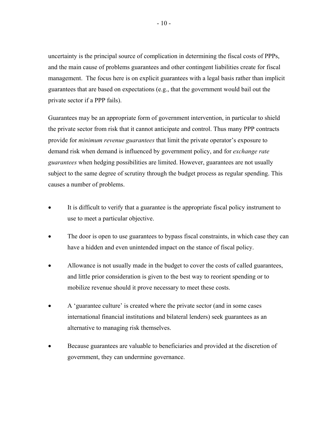uncertainty is the principal source of complication in determining the fiscal costs of PPPs, and the main cause of problems guarantees and other contingent liabilities create for fiscal management. The focus here is on explicit guarantees with a legal basis rather than implicit guarantees that are based on expectations (e.g., that the government would bail out the private sector if a PPP fails).

Guarantees may be an appropriate form of government intervention, in particular to shield the private sector from risk that it cannot anticipate and control. Thus many PPP contracts provide for *minimum revenue guarantees* that limit the private operator's exposure to demand risk when demand is influenced by government policy, and for *exchange rate guarantees* when hedging possibilities are limited. However, guarantees are not usually subject to the same degree of scrutiny through the budget process as regular spending. This causes a number of problems.

- It is difficult to verify that a guarantee is the appropriate fiscal policy instrument to use to meet a particular objective.
- The door is open to use guarantees to bypass fiscal constraints, in which case they can have a hidden and even unintended impact on the stance of fiscal policy.
- Allowance is not usually made in the budget to cover the costs of called guarantees, and little prior consideration is given to the best way to reorient spending or to mobilize revenue should it prove necessary to meet these costs.
- A 'guarantee culture' is created where the private sector (and in some cases international financial institutions and bilateral lenders) seek guarantees as an alternative to managing risk themselves.
- Because guarantees are valuable to beneficiaries and provided at the discretion of government, they can undermine governance.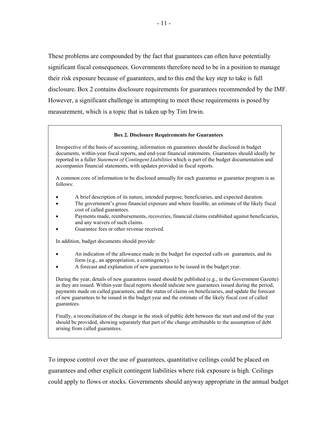These problems are compounded by the fact that guarantees can often have potentially significant fiscal consequences. Governments therefore need to be in a position to manage their risk exposure because of guarantees, and to this end the key step to take is full disclosure. Box 2 contains disclosure requirements for guarantees recommended by the IMF. However, a significant challenge in attempting to meet these requirements is posed by measurement, which is a topic that is taken up by Tim Irwin.

#### **Box 2. Disclosure Requirements for Guarantees**

Irrespective of the basis of accounting, information on guarantees should be disclosed in budget documents, within-year fiscal reports, and end-year financial statements. Guarantees should ideally be reported in a fuller *Statement of Contingent Liabilities* which is part of the budget documentation and accompanies financial statements, with updates provided in fiscal reports.

A common core of information to be disclosed annually for each guarantee or guarantee program is as follows:

- A brief description of its nature, intended purpose, beneficiaries, and expected duration.
- The government's gross financial exposure and where feasible, an estimate of the likely fiscal cost of called guarantees.
- Payments made, reimbursements, recoveries, financial claims established against beneficiaries, and any waivers of such claims.
- Guarantee fees or other revenue received.

In addition, budget documents should provide:

- An indication of the allowance made in the budget for expected calls on guarantees, and its form (e.g., an appropriation, a contingency).
- A forecast and explanation of new guarantees to be issued in the budget year.

During the year, details of new guarantees issued should be published (e.g., in the Government Gazette) as they are issued. Within-year fiscal reports should indicate new guarantees issued during the period, payments made on called guarantees, and the status of claims on beneficiaries, and update the forecast of new guarantees to be issued in the budget year and the estimate of the likely fiscal cost of called guarantees.

Finally, a reconciliation of the change in the stock of public debt between the start and end of the year should be provided, showing separately that part of the change attributable to the assumption of debt arising from called guarantees.

To impose control over the use of guarantees, quantitative ceilings could be placed on guarantees and other explicit contingent liabilities where risk exposure is high. Ceilings could apply to flows or stocks. Governments should anyway appropriate in the annual budget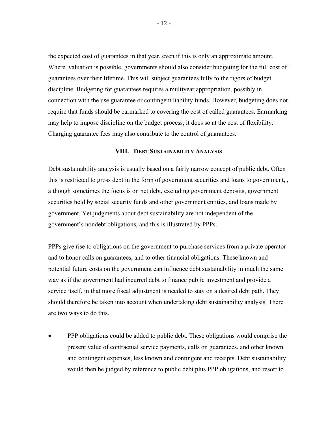the expected cost of guarantees in that year, even if this is only an approximate amount. Where valuation is possible, governments should also consider budgeting for the full cost of guarantees over their lifetime. This will subject guarantees fully to the rigors of budget discipline. Budgeting for guarantees requires a multiyear appropriation, possibly in connection with the use guarantee or contingent liability funds. However, budgeting does not require that funds should be earmarked to covering the cost of called guarantees. Earmarking may help to impose discipline on the budget process, it does so at the cost of flexibility. Charging guarantee fees may also contribute to the control of guarantees.

### **VIII. DEBT SUSTAINABILITY ANALYSIS**

Debt sustainability analysis is usually based on a fairly narrow concept of public debt. Often this is restricted to gross debt in the form of government securities and loans to government, , although sometimes the focus is on net debt, excluding government deposits, government securities held by social security funds and other government entities, and loans made by government. Yet judgments about debt sustainability are not independent of the government's nondebt obligations, and this is illustrated by PPPs.

PPPs give rise to obligations on the government to purchase services from a private operator and to honor calls on guarantees, and to other financial obligations. These known and potential future costs on the government can influence debt sustainability in much the same way as if the government had incurred debt to finance public investment and provide a service itself, in that more fiscal adjustment is needed to stay on a desired debt path. They should therefore be taken into account when undertaking debt sustainability analysis. There are two ways to do this.

• PPP obligations could be added to public debt. These obligations would comprise the present value of contractual service payments, calls on guarantees, and other known and contingent expenses, less known and contingent and receipts. Debt sustainability would then be judged by reference to public debt plus PPP obligations, and resort to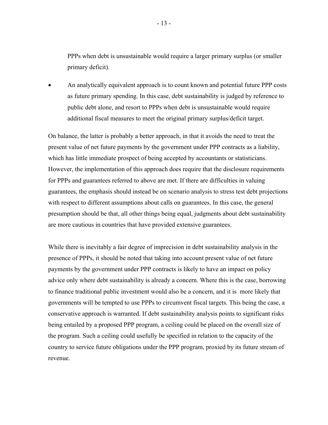PPPs when debt is unsustainable would require a larger primary surplus (or smaller primary deficit).

• An analytically equivalent approach is to count known and potential future PPP costs as future primary spending. In this case, debt sustainability is judged by reference to public debt alone, and resort to PPPs when debt is unsustainable would require additional fiscal measures to meet the original primary surplus/deficit target.

On balance, the latter is probably a better approach, in that it avoids the need to treat the present value of net future payments by the government under PPP contracts as a liability, which has little immediate prospect of being accepted by accountants or statisticians. However, the implementation of this approach does require that the disclosure requirements for PPPs and guarantees referred to above are met. If there are difficulties in valuing guarantees, the emphasis should instead be on scenario analysis to stress test debt projections with respect to different assumptions about calls on guarantees. In this case, the general presumption should be that, all other things being equal, judgments about debt sustainability are more cautious in countries that have provided extensive guarantees.

While there is inevitably a fair degree of imprecision in debt sustainability analysis in the presence of PPPs, it should be noted that taking into account present value of net future payments by the government under PPP contracts is likely to have an impact on policy advice only where debt sustainability is already a concern. Where this is the case, borrowing to finance traditional public investment would also be a concern, and it is more likely that governments will be tempted to use PPPs to circumvent fiscal targets. This being the case, a conservative approach is warranted. If debt sustainability analysis points to significant risks being entailed by a proposed PPP program, a ceiling could be placed on the overall size of the program. Such a ceiling could usefully be specified in relation to the capacity of the country to service future obligations under the PPP program, proxied by its future stream of revenue.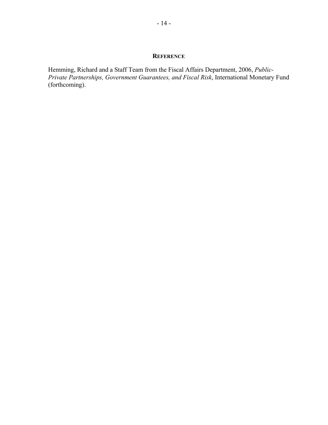### **REFERENCE**

Hemming, Richard and a Staff Team from the Fiscal Affairs Department, 2006, *Public-Private Partnerships, Government Guarantees, and Fiscal Risk*, International Monetary Fund (forthcoming).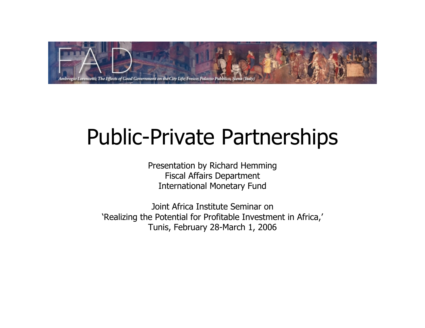

### Public-Private Partnerships

Presentation by Richard Hemming Fiscal Affairs Department International Monetary Fund

Joint Africa Institute Seminar on 'Realizing the Potential for Profitable Investment in Africa,' Tunis, February 28-March 1, 2006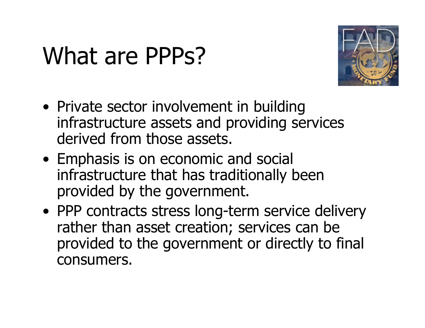### What are PPPs?



- Private sector involvement in building infrastructure assets and providing services derived from those assets.
- Emphasis is on economic and social infrastructure that has traditionally been provided by the government.
- PPP contracts stress long-term service delivery rather than asset creation; services can be provided to the government or directly to final consumers.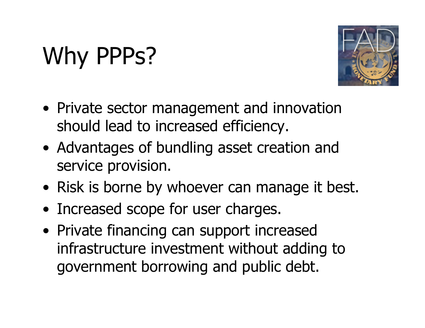# Why PPPs?



- Private sector management and innovation should lead to increased efficiency.
- Advantages of bundling asset creation and service provision.
- Risk is borne by whoever can manage it best.
- Increased scope for user charges.
- Private financing can support increased infrastructure investment without adding to government borrowing and public debt.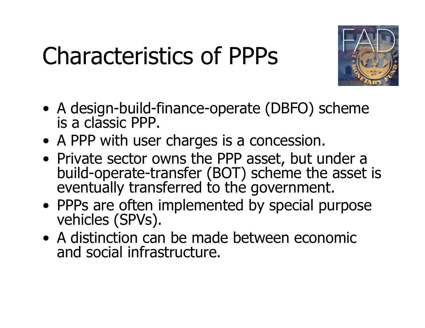# Characteristics of PPPs



- A design-build-finance-operate (DBFO) scheme is a classic PPP.
- A PPP with user charges is a concession.
- Private sector owns the PPP asset, but under a build-operate-transfer (BOT) scheme the asset is eventually transferred to the government.
- PPPs are often implemented by special purpose vehicles (SPVs).
- A distinction can be made between economic and social infrastructure.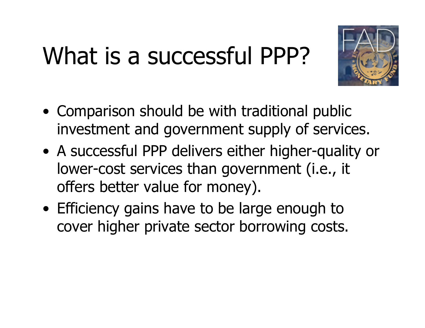# What is a successful PPP?



- Comparison should be with traditional public investment and government supply of services.
- A successful PPP delivers either higher-quality or lower-cost services than government (i.e., it offers better value for money).
- Efficiency gains have to be large enough to cover higher private sector borrowing costs.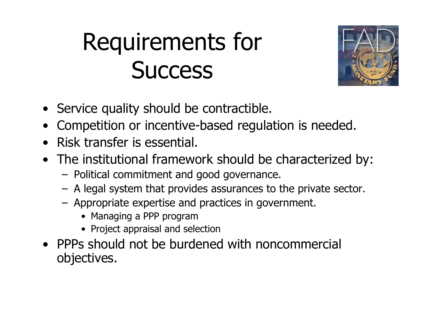# Requirements for **Success**



- Service quality should be contractible.
- $\bullet$ Competition or incentive-based regulation is needed.
- Risk transfer is essential.
- The institutional framework should be characterized by:
	- Political commitment and good governance.
	- A legal system that provides assurances to the private sector.
	- Appropriate expertise and practices in government.
		- Managing a PPP program
		- Project appraisal and selection
- PPPs should not be burdened with noncommercial objectives.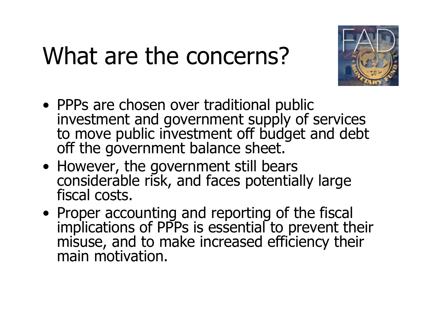# What are the concerns?



- PPPs are chosen over traditional public investment and government supply of services to move public investment off budget and debt off the government balance sheet.
- However, the government still bears considerable risk, and faces potentially large<br>fiscal costs.
- Proper accounting and reporting of the fiscal implications of PPPs is essential to prevent their misuse, and to make increased efficiency their main motivation.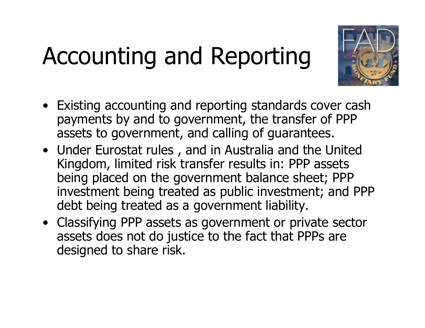# Accounting and Reporting



- Existing accounting and reporting standards cover cash payments by and to government, the transfer of PPP assets to government, and calling of guarantees.
- Under Eurostat rules , and in Australia and the United Kingdom, limited risk transfer results in: PPP assets being placed on the government balance sheet; PPP investment being treated as public investment; and PPP debt being treated as a government liability.
- Classifying PPP assets as government or private sector assets does not do justice to the fact that PPPs are designed to share risk.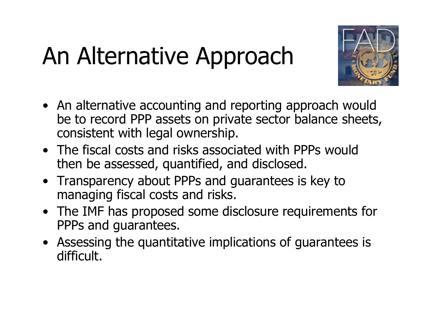# An Alternative Approach



- An alternative accounting and reporting approach would be to record PPP assets on private sector balance sheets, consistent with legal ownership.
- The fiscal costs and risks associated with PPPs would then be assessed, quantified, and disclosed.
- Transparency about PPPs and guarantees is key to managing fiscal costs and risks.
- The IMF has proposed some disclosure requirements for PPPs and guarantees.
- Assessing the quantitative implications of guarantees is difficult.